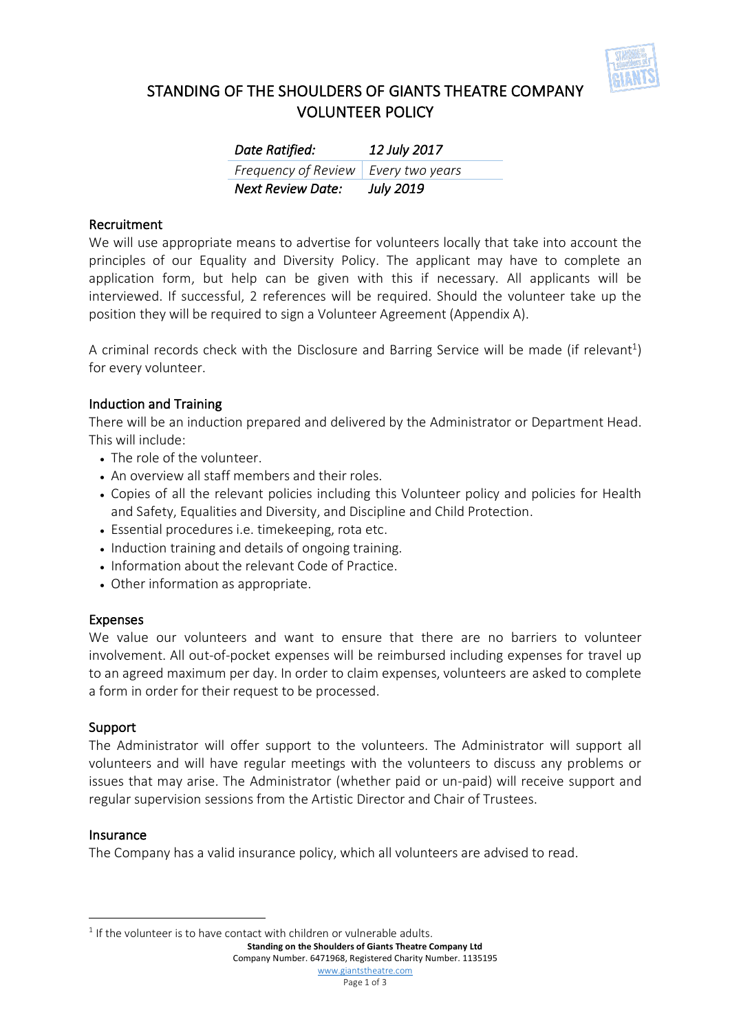

# STANDING OF THE SHOULDERS OF GIANTS THEATRE COMPANY VOLUNTEER POLICY

| Date Ratified:                        | 12 July 2017     |
|---------------------------------------|------------------|
| Frequency of Review   Every two years |                  |
| Next Review Date:                     | <b>July 2019</b> |

## Recruitment

We will use appropriate means to advertise for volunteers locally that take into account the principles of our Equality and Diversity Policy. The applicant may have to complete an application form, but help can be given with this if necessary. All applicants will be interviewed. If successful, 2 references will be required. Should the volunteer take up the position they will be required to sign a Volunteer Agreement (Appendix A).

A criminal records check with the Disclosure and Barring Service will be made (if relevant<sup>1</sup>) for every volunteer.

## Induction and Training

There will be an induction prepared and delivered by the Administrator or Department Head. This will include:

- The role of the volunteer.
- An overview all staff members and their roles.
- Copies of all the relevant policies including this Volunteer policy and policies for Health and Safety, Equalities and Diversity, and Discipline and Child Protection.
- Essential procedures i.e. timekeeping, rota etc.
- Induction training and details of ongoing training.
- Information about the relevant Code of Practice.
- Other information as appropriate.

### Expenses

We value our volunteers and want to ensure that there are no barriers to volunteer involvement. All out-of-pocket expenses will be reimbursed including expenses for travel up to an agreed maximum per day. In order to claim expenses, volunteers are asked to complete a form in order for their request to be processed.

### Support

The Administrator will offer support to the volunteers. The Administrator will support all volunteers and will have regular meetings with the volunteers to discuss any problems or issues that may arise. The Administrator (whether paid or un-paid) will receive support and regular supervision sessions from the Artistic Director and Chair of Trustees.

#### Insurance

 $\overline{a}$ 

The Company has a valid insurance policy, which all volunteers are advised to read.

**Standing on the Shoulders of Giants Theatre Company Ltd**

Company Number. 6471968, Registered Charity Number. 1135195

 $1$  If the volunteer is to have contact with children or vulnerable adults.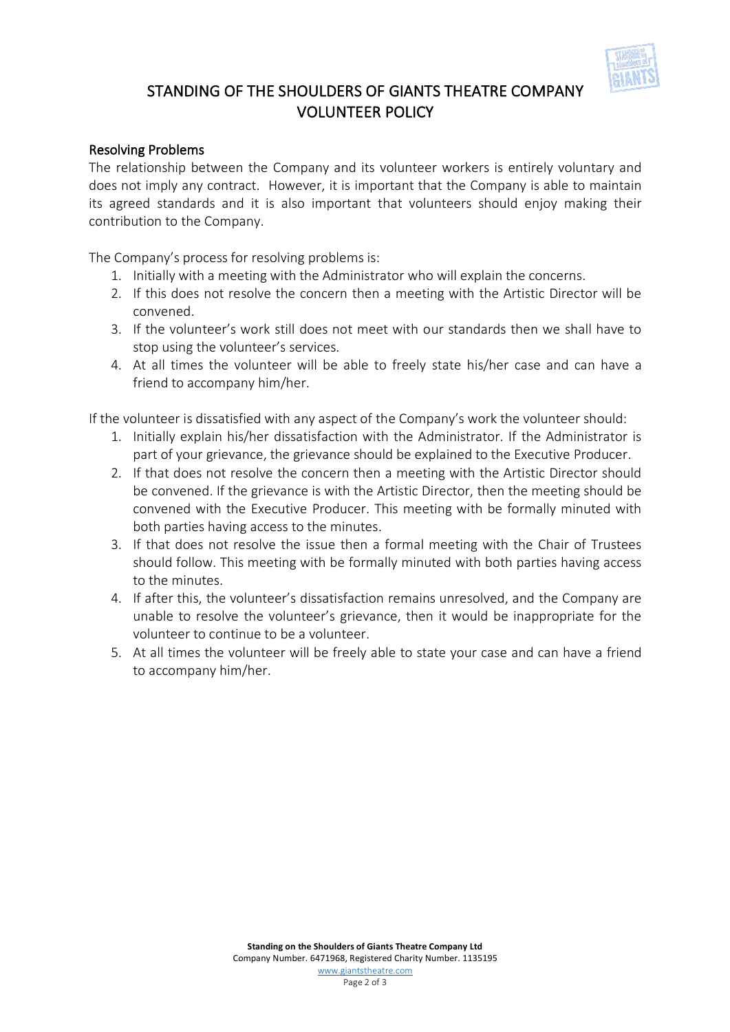

# STANDING OF THE SHOULDERS OF GIANTS THEATRE COMPANY VOLUNTEER POLICY

## Resolving Problems

The relationship between the Company and its volunteer workers is entirely voluntary and does not imply any contract. However, it is important that the Company is able to maintain its agreed standards and it is also important that volunteers should enjoy making their contribution to the Company.

The Company's process for resolving problems is:

- 1. Initially with a meeting with the Administrator who will explain the concerns.
- 2. If this does not resolve the concern then a meeting with the Artistic Director will be convened.
- 3. If the volunteer's work still does not meet with our standards then we shall have to stop using the volunteer's services.
- 4. At all times the volunteer will be able to freely state his/her case and can have a friend to accompany him/her.

If the volunteer is dissatisfied with any aspect of the Company's work the volunteer should:

- 1. Initially explain his/her dissatisfaction with the Administrator. If the Administrator is part of your grievance, the grievance should be explained to the Executive Producer.
- 2. If that does not resolve the concern then a meeting with the Artistic Director should be convened. If the grievance is with the Artistic Director, then the meeting should be convened with the Executive Producer. This meeting with be formally minuted with both parties having access to the minutes.
- 3. If that does not resolve the issue then a formal meeting with the Chair of Trustees should follow. This meeting with be formally minuted with both parties having access to the minutes.
- 4. If after this, the volunteer's dissatisfaction remains unresolved, and the Company are unable to resolve the volunteer's grievance, then it would be inappropriate for the volunteer to continue to be a volunteer.
- 5. At all times the volunteer will be freely able to state your case and can have a friend to accompany him/her.